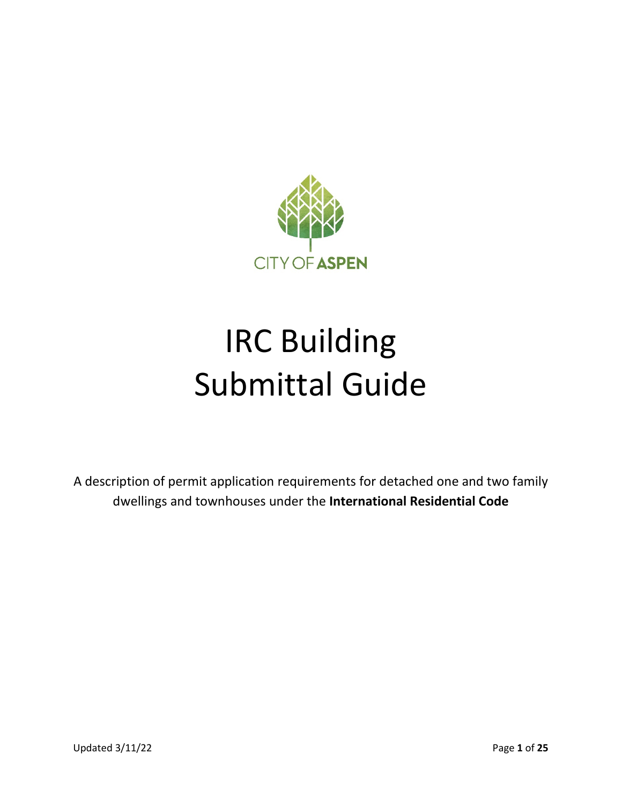

# IRC Building Submittal Guide

A description of permit application requirements for detached one and two family dwellings and townhouses under the **International Residential Code**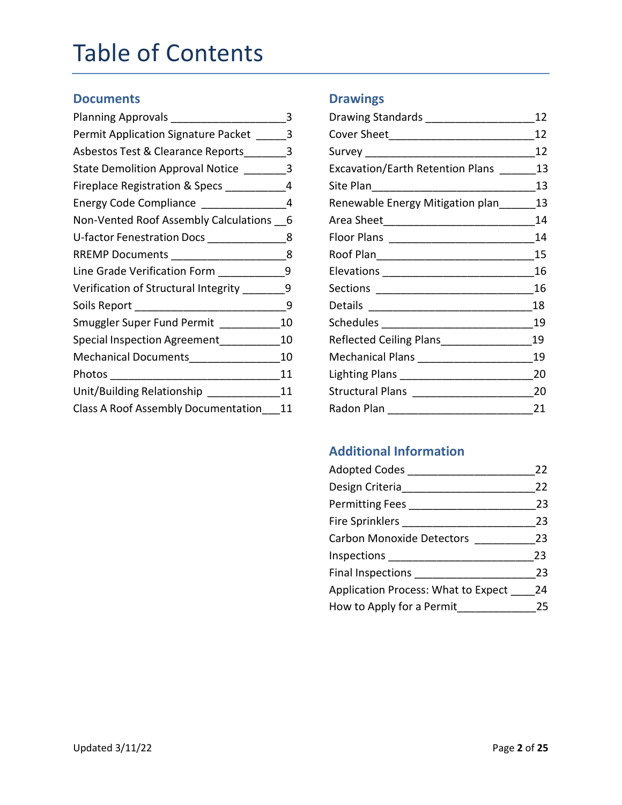### Table of Contents

#### **Documents**

| Planning Approvals ______________         | 3  |
|-------------------------------------------|----|
| Permit Application Signature Packet       | 3  |
| Asbestos Test & Clearance Reports         | 3  |
| State Demolition Approval Notice          | 3  |
| Fireplace Registration & Specs            | 4  |
| Energy Code Compliance __________         | 4  |
| Non-Vented Roof Assembly Calculations     | 6  |
| U-factor Fenestration Docs _________      | 8  |
| RREMP Documents _________________         | 8  |
| Line Grade Verification Form _______      | 9  |
| Verification of Structural Integrity ____ | 9  |
| Soils Report ____________________         | 9  |
| Smuggler Super Fund Permit                | 10 |
| Special Inspection Agreement              | 10 |
| Mechanical Documents                      | 10 |
| Photos                                    | 11 |
| Unit/Building Relationship                | 11 |
| Class A Roof Assembly Documentation       | 11 |

#### **Drawings**

| Drawing Standards __________________    | 12 |
|-----------------------------------------|----|
|                                         | 12 |
| Survey ________________________________ | 12 |
| Excavation/Earth Retention Plans        | 13 |
|                                         | 13 |
| Renewable Energy Mitigation plan        | 13 |
|                                         | 14 |
|                                         | 14 |
|                                         | 15 |
|                                         | 16 |
| Sections _________________________      | 16 |
| Details _________________________       | 18 |
| Schedules __________________________    | 19 |
| Reflected Ceiling Plans                 | 19 |
| Mechanical Plans ______________________ | 19 |
| Lighting Plans ______________________   | 20 |
|                                         | 20 |
| Radon Plan                              | 21 |

#### **Additional Information**

| <b>Adopted Codes</b>                | 22  |
|-------------------------------------|-----|
| Design Criteria                     | 22  |
| <b>Permitting Fees</b>              | 23  |
| <b>Fire Sprinklers</b>              | 23  |
| <b>Carbon Monoxide Detectors</b>    | 23  |
| Inspections                         | 23. |
| <b>Final Inspections</b>            | 23  |
| Application Process: What to Expect | 24  |
| How to Apply for a Permit           | 25  |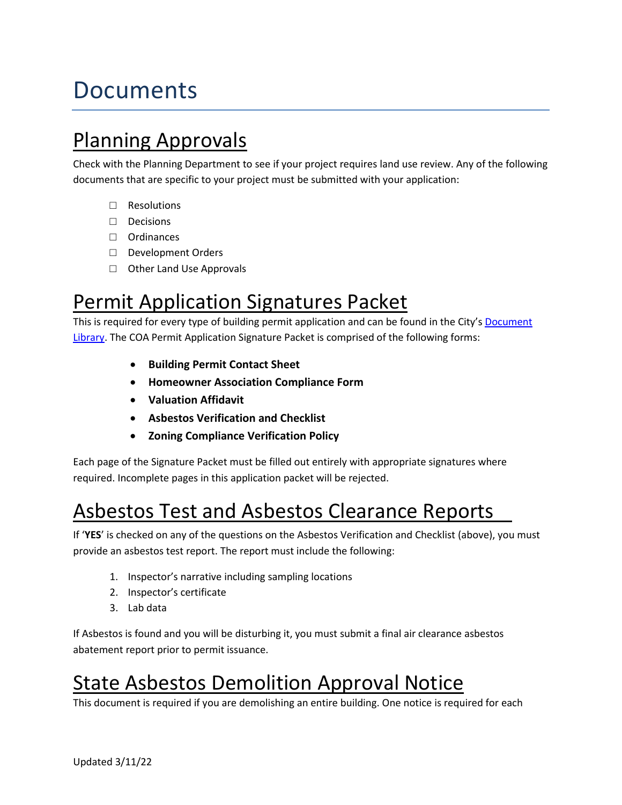### Documents

Planning Approvals<br>Check with the Planning Department to see if your project requires land use review. Any of the following documents that are specific to your project must be submitted with your application:

- □ Resolutions
- □ Decisions
- □ Ordinances
- □ Development Orders
- □ Other Land Use Approvals

#### Permit Application Signatures Packet

This is required for every type of building permit application and can be found in the City'[s Document](https://www.cityofaspen.com/1391/Document-and-Resource-Library)  [Library.](https://www.cityofaspen.com/1391/Document-and-Resource-Library) The COA Permit Application Signature Packet is comprised of the following forms:

- **Building Permit Contact Sheet**
- **Homeowner Association Compliance Form**
- **Valuation Affidavit**
- **Asbestos Verification and Checklist**
- **Zoning Compliance Verification Policy**

Each page of the Signature Packet must be filled out entirely with appropriate signatures where required. Incomplete pages in this application packet will be rejected.

# Asbestos Test and Asbestos Clearance Reports<br>If 'YES' is checked on any of the questions on the Asbestos Verification and Checklist (above), you must

provide an asbestos test report. The report must include the following:

- 1. Inspector's narrative including sampling locations
- 2. Inspector's certificate
- 3. Lab data

If Asbestos is found and you will be disturbing it, you must submit a final air clearance asbestos abatement report prior to permit issuance.

## State Asbestos Demolition Approval Notice<br>This document is required if you are demolishing an entire building. One notice is required for each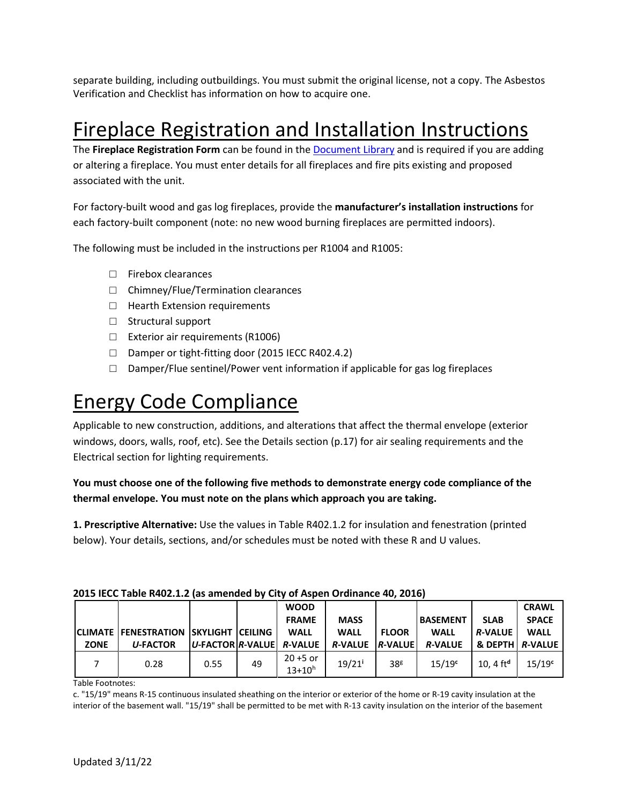separate building, including outbuildings. You must submit the original license, not a copy. The Asbestos Verification and Checklist has information on how to acquire one.

#### Fireplace Registration and Installation Instructions

The **Fireplace Registration Form** can be found in the [Document Library](https://www.cityofaspen.com/1391/Document-and-Resource-Library) and is required if you are adding or altering a fireplace. You must enter details for all fireplaces and fire pits existing and proposed associated with the unit.

For factory-built wood and gas log fireplaces, provide the **manufacturer's installation instructions** for each factory-built component (note: no new wood burning fireplaces are permitted indoors).

The following must be included in the instructions per R1004 and R1005:

- □ Firebox clearances
- □ Chimney/Flue/Termination clearances
- □ Hearth Extension requirements
- □ Structural support
- □ Exterior air requirements (R1006)
- □ Damper or tight-fitting door (2015 IECC R402.4.2)
- $\Box$  Damper/Flue sentinel/Power vent information if applicable for gas log fireplaces

#### Energy Code Compliance

Applicable to new construction, additions, and alterations that affect the thermal envelope (exterior windows, doors, walls, roof, etc). See the Details section (p.17) for air sealing requirements and the Electrical section for lighting requirements.

#### **You must choose one of the following five methods to demonstrate energy code compliance of the thermal envelope. You must note on the plans which approach you are taking.**

**1. Prescriptive Alternative:** Use the values in Table R402.1.2 for insulation and fenestration (printed below). Your details, sections, and/or schedules must be noted with these R and U values.

|             |                                              |                          |    | <b>WOOD</b>                  |                        |                 |                 |                            | <b>CRAWL</b>       |
|-------------|----------------------------------------------|--------------------------|----|------------------------------|------------------------|-----------------|-----------------|----------------------------|--------------------|
|             |                                              |                          |    | <b>FRAME</b>                 | <b>MASS</b>            |                 | <b>BASEMENT</b> | <b>SLAB</b>                | <b>SPACE</b>       |
|             | <b>CLIMATE FENESTRATION SKYLIGHT CEILING</b> |                          |    | <b>WALL</b>                  | <b>WALL</b>            | <b>FLOOR</b>    | <b>WALL</b>     | <i><b>R-VALUE</b></i>      | <b>WALL</b>        |
| <b>ZONE</b> | <b>U-FACTOR</b>                              | U-FACTOR R-VALUE R-VALUE |    |                              | <b>R-VALUE R-VALUE</b> |                 | <b>R-VALUE</b>  | <b>&amp; DEPTH A-VALUE</b> |                    |
|             | 0.28                                         | 0.55                     | 49 | $20 + 5$ or<br>$13 + 10^{h}$ | $19/21$ <sup>i</sup>   | 38 <sup>g</sup> | $15/19^c$       | 10.4 $ftd$                 | 15/19 <sup>c</sup> |

#### **2015 IECC Table R402.1.2 (as amended by City of Aspen Ordinance 40, 2016)**

Table Footnotes:

c. "15/19" means R-15 continuous insulated sheathing on the interior or exterior of the home or R-19 cavity insulation at the interior of the basement wall. "15/19" shall be permitted to be met with R-13 cavity insulation on the interior of the basement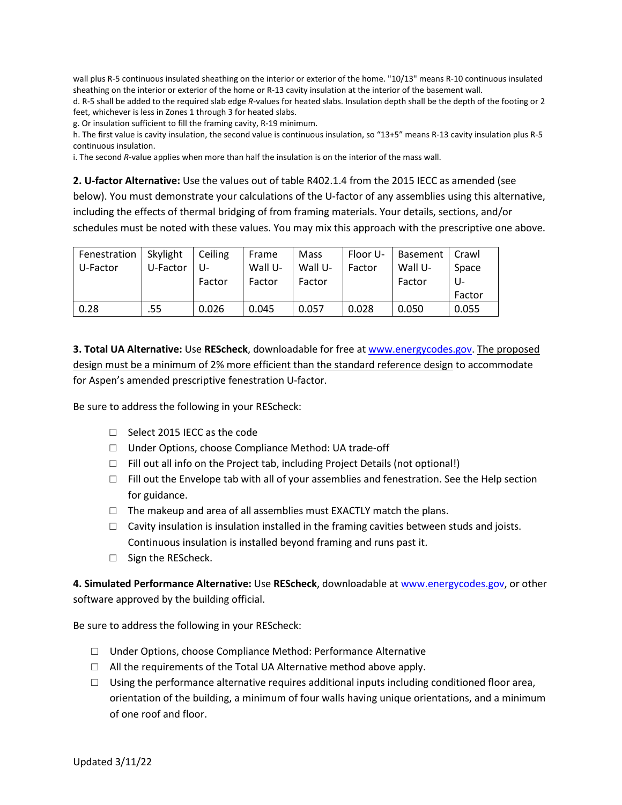wall plus R-5 continuous insulated sheathing on the interior or exterior of the home. "10/13" means R-10 continuous insulated sheathing on the interior or exterior of the home or R-13 cavity insulation at the interior of the basement wall. d. R-5 shall be added to the required slab edge *R*-values for heated slabs. Insulation depth shall be the depth of the footing or 2 feet, whichever is less in Zones 1 through 3 for heated slabs.

g. Or insulation sufficient to fill the framing cavity, R-19 minimum.

h. The first value is cavity insulation, the second value is continuous insulation, so "13+5" means R-13 cavity insulation plus R-5 continuous insulation.

i. The second *R*-value applies when more than half the insulation is on the interior of the mass wall.

**2. U-factor Alternative:** Use the values out of table R402.1.4 from the 2015 IECC as amended (see below). You must demonstrate your calculations of the U-factor of any assemblies using this alternative, including the effects of thermal bridging of from framing materials. Your details, sections, and/or schedules must be noted with these values. You may mix this approach with the prescriptive one above.

| Fenestration | Skylight | Ceiling | Frame   | Mass    | Floor U- | <b>Basement</b> | Crawl  |
|--------------|----------|---------|---------|---------|----------|-----------------|--------|
| U-Factor     | U-Factor | U-      | Wall U- | Wall U- | Factor   | Wall U-         | Space  |
|              |          | Factor  | Factor  | Factor  |          | Factor          | U-     |
|              |          |         |         |         |          |                 | Factor |
| 0.28         | .55      | 0.026   | 0.045   | 0.057   | 0.028    | 0.050           | 0.055  |

**3. Total UA Alternative:** Use **REScheck**, downloadable for free at [www.energycodes.gov.](http://www.energycodes.gov/) The proposed design must be a minimum of 2% more efficient than the standard reference design to accommodate for Aspen's amended prescriptive fenestration U-factor.

Be sure to address the following in your REScheck:

- □ Select 2015 IECC as the code
- □ Under Options, choose Compliance Method: UA trade-off
- □ Fill out all info on the Project tab, including Project Details (not optional!)
- $\Box$  Fill out the Envelope tab with all of your assemblies and fenestration. See the Help section for guidance.
- $\Box$  The makeup and area of all assemblies must EXACTLY match the plans.
- $\Box$  Cavity insulation is insulation installed in the framing cavities between studs and joists. Continuous insulation is installed beyond framing and runs past it.
- □ Sign the REScheck.

**4. Simulated Performance Alternative:** Use **REScheck**, downloadable a[t www.energycodes.gov,](http://www.energycodes.gov/) or other software approved by the building official.

Be sure to address the following in your REScheck:

- $\Box$  Under Options, choose Compliance Method: Performance Alternative
- $\Box$  All the requirements of the Total UA Alternative method above apply.
- $\Box$  Using the performance alternative requires additional inputs including conditioned floor area, orientation of the building, a minimum of four walls having unique orientations, and a minimum of one roof and floor.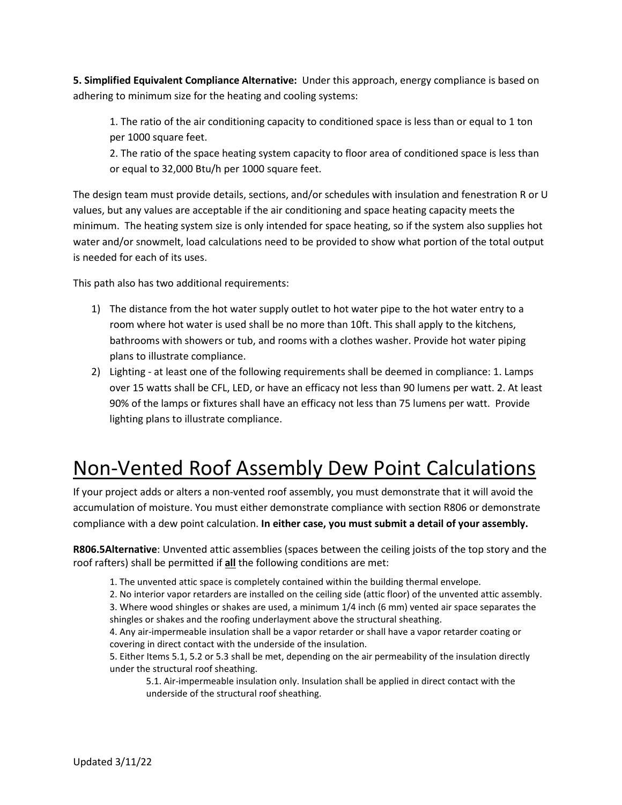**5. Simplified Equivalent Compliance Alternative:** Under this approach, energy compliance is based on adhering to minimum size for the heating and cooling systems:

1. The ratio of the air conditioning capacity to conditioned space is less than or equal to 1 ton per 1000 square feet.

2. The ratio of the space heating system capacity to floor area of conditioned space is less than or equal to 32,000 Btu/h per 1000 square feet.

The design team must provide details, sections, and/or schedules with insulation and fenestration R or U values, but any values are acceptable if the air conditioning and space heating capacity meets the minimum. The heating system size is only intended for space heating, so if the system also supplies hot water and/or snowmelt, load calculations need to be provided to show what portion of the total output is needed for each of its uses.

This path also has two additional requirements:

- 1) The distance from the hot water supply outlet to hot water pipe to the hot water entry to a room where hot water is used shall be no more than 10ft. This shall apply to the kitchens, bathrooms with showers or tub, and rooms with a clothes washer. Provide hot water piping plans to illustrate compliance.
- 2) Lighting at least one of the following requirements shall be deemed in compliance: 1. Lamps over 15 watts shall be CFL, LED, or have an efficacy not less than 90 lumens per watt. 2. At least 90% of the lamps or fixtures shall have an efficacy not less than 75 lumens per watt. Provide lighting plans to illustrate compliance.

### Non-Vented Roof Assembly Dew Point Calculations

If your project adds or alters a non-vented roof assembly, you must demonstrate that it will avoid the accumulation of moisture. You must either demonstrate compliance with section R806 or demonstrate compliance with a dew point calculation. **In either case, you must submit a detail of your assembly.**

**R806.5Alternative**: Unvented attic assemblies (spaces between the ceiling joists of the top story and the roof rafters) shall be permitted if **all** the following conditions are met:

1. The unvented attic space is completely contained within the building thermal envelope.

2. No interior vapor retarders are installed on the ceiling side (attic floor) of the unvented attic assembly.

3. Where wood shingles or shakes are used, a minimum 1/4 inch (6 mm) vented air space separates the shingles or shakes and the roofing underlayment above the structural sheathing.

4. Any air-impermeable insulation shall be a vapor retarder or shall have a vapor retarder coating or covering in direct contact with the underside of the insulation.

5. Either Items 5.1, 5.2 or 5.3 shall be met, depending on the air permeability of the insulation directly under the structural roof sheathing.

5.1. Air-impermeable insulation only. Insulation shall be applied in direct contact with the underside of the structural roof sheathing.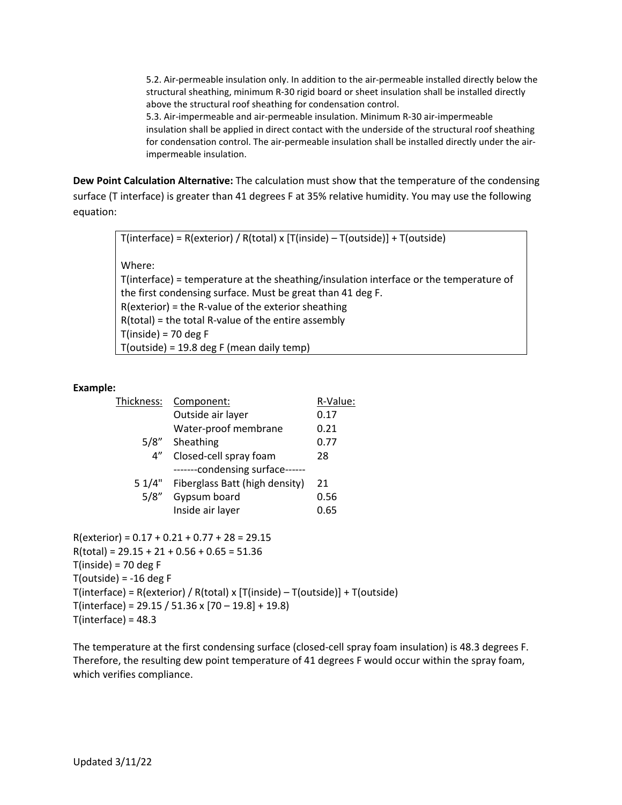5.2. Air-permeable insulation only. In addition to the air-permeable installed directly below the structural sheathing, minimum R-30 rigid board or sheet insulation shall be installed directly above the structural roof sheathing for condensation control.

5.3. Air-impermeable and air-permeable insulation. Minimum R-30 air-impermeable insulation shall be applied in direct contact with the underside of the structural roof sheathing for condensation control. The air-permeable insulation shall be installed directly under the airimpermeable insulation.

**Dew Point Calculation Alternative:** The calculation must show that the temperature of the condensing surface (T interface) is greater than 41 degrees F at 35% relative humidity. You may use the following equation:

 $T(interface) = R(exterior) / R(total) x [T(inside) - T(outside)] + T(outside)$ 

Where:

T(interface) = temperature at the sheathing/insulation interface or the temperature of the first condensing surface. Must be great than 41 deg F. R(exterior) = the R-value of the exterior sheathing R(total) = the total R-value of the entire assembly  $T(inside) = 70 deg F$ T(outside) = 19.8 deg F (mean daily temp)

#### **Example:**

| Thickness:         | Component:                      |      |  |
|--------------------|---------------------------------|------|--|
|                    | Outside air layer               | 0.17 |  |
|                    | Water-proof membrane            | 0.21 |  |
| 5/8"               | Sheathing                       | 0.77 |  |
| $4^{\prime\prime}$ | Closed-cell spray foam          | 28   |  |
|                    | -------condensing surface------ |      |  |
| 51/4"              | Fiberglass Batt (high density)  | 21   |  |
| 5/8"               | Gypsum board                    | 0.56 |  |
|                    | Inside air layer                | 0.65 |  |

 $R(exterior) = 0.17 + 0.21 + 0.77 + 28 = 29.15$  $R(total) = 29.15 + 21 + 0.56 + 0.65 = 51.36$  $T(inside) = 70 deg F$  $T(out) = -16 deg F$ T(interface) = R(exterior) / R(total) x [T(inside) – T(outside)] + T(outside)  $T(interface) = 29.15 / 51.36 \times [70 - 19.8] + 19.8)$  $T($ interface $) = 48.3$ 

The temperature at the first condensing surface (closed-cell spray foam insulation) is 48.3 degrees F. Therefore, the resulting dew point temperature of 41 degrees F would occur within the spray foam, which verifies compliance.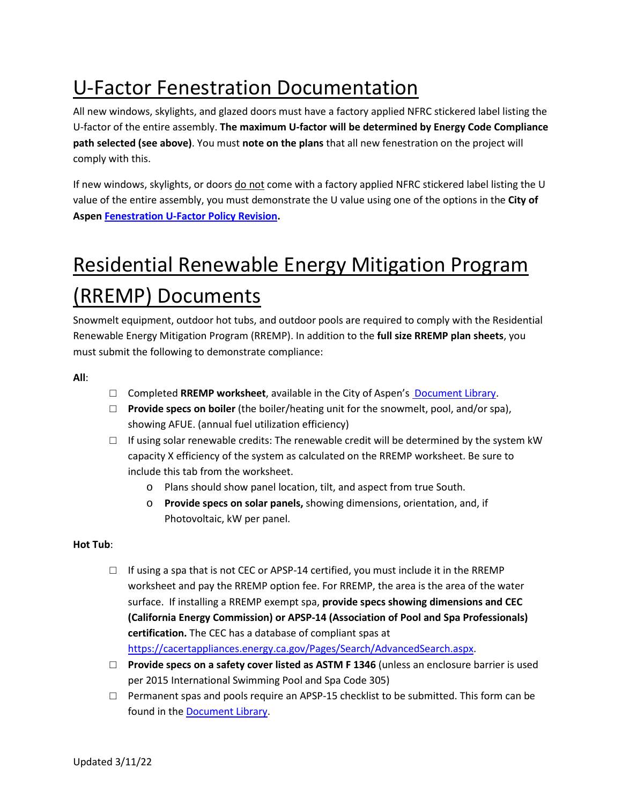### U-Factor Fenestration Documentation

All new windows, skylights, and glazed doors must have a factory applied NFRC stickered label listing the U-factor of the entire assembly. **The maximum U-factor will be determined by Energy Code Compliance path selected (see above)**. You must **note on the plans** that all new fenestration on the project will comply with this.

If new windows, skylights, or doors do not come with a factory applied NFRC stickered label listing the U value of the entire assembly, you must demonstrate the U value using one of the options in the **City of Aspen [Fenestration](https://www.cityofaspen.com/250/Policy-Manual) U-Factor Policy Revision.** 

### Residential Renewable Energy Mitigation Program (RREMP) Documents

Snowmelt equipment, outdoor hot tubs, and outdoor pools are required to comply with the Residential Renewable Energy Mitigation Program (RREMP). In addition to the **full size RREMP plan sheets**, you must submit the following to demonstrate compliance:

**All**:

- □ Completed **RREMP worksheet**, available in the City of Aspen's [Document Library.](https://www.cityofaspen.com/1391/Document-and-Resource-Library)
- □ **Provide specs on boiler** (the boiler/heating unit for the snowmelt, pool, and/or spa), showing AFUE. (annual fuel utilization efficiency)
- $\Box$  If using solar renewable credits: The renewable credit will be determined by the system kW capacity X efficiency of the system as calculated on the RREMP worksheet. Be sure to include this tab from the worksheet.
	- o Plans should show panel location, tilt, and aspect from true South.
	- o **Provide specs on solar panels,** showing dimensions, orientation, and, if Photovoltaic, kW per panel.

#### **Hot Tub**:

- $\Box$  If using a spa that is not CEC or APSP-14 certified, you must include it in the RREMP worksheet and pay the RREMP option fee. For RREMP, the area is the area of the water surface. If installing a RREMP exempt spa, **provide specs showing dimensions and CEC (California Energy Commission) or APSP-14 (Association of Pool and Spa Professionals) certification.** The CEC has a database of compliant spas at [https://cacertappliances.energy.ca.gov/Pages/Search/AdvancedSearch.aspx.](https://cacertappliances.energy.ca.gov/Pages/Search/AdvancedSearch.aspx)
- □ **Provide specs on a safety cover listed as ASTM F 1346** (unless an enclosure barrier is used per 2015 International Swimming Pool and Spa Code 305)
- $\Box$  Permanent spas and pools require an APSP-15 checklist to be submitted. This form can be found in the [Document Library.](https://www.cityofaspen.com/1391/Document-and-Resource-Library)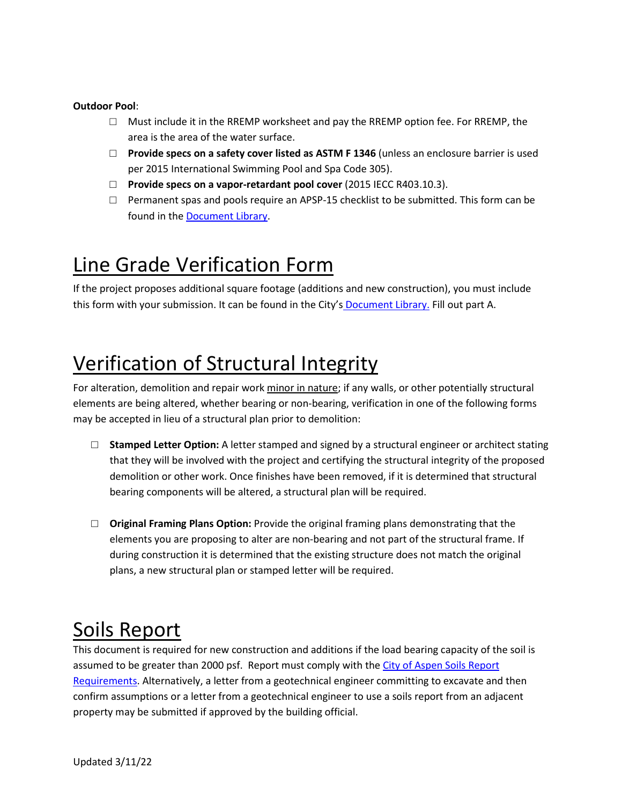#### **Outdoor Pool**:

- □ Must include it in the RREMP worksheet and pay the RREMP option fee. For RREMP, the area is the area of the water surface.
- □ **Provide specs on a safety cover listed as ASTM F 1346** (unless an enclosure barrier is used per 2015 International Swimming Pool and Spa Code 305).
- □ **Provide specs on a vapor-retardant pool cover** (2015 IECC R403.10.3).
- $\Box$  Permanent spas and pools require an APSP-15 checklist to be submitted. This form can be found in the [Document Library.](https://www.cityofaspen.com/1391/Document-and-Resource-Library)

### Line Grade Verification Form

If the project proposes additional square footage (additions and new construction), you must include this form with your submission. It can be found in the City's [Document Library.](https://www.cityofaspen.com/1391/Document-and-Resource-Library) Fill out part A.

### Verification of Structural Integrity

For alteration, demolition and repair work minor in nature; if any walls, or other potentially structural elements are being altered, whether bearing or non-bearing, verification in one of the following forms may be accepted in lieu of a structural plan prior to demolition:

- □ **Stamped Letter Option:** A letter stamped and signed by a structural engineer or architect stating that they will be involved with the project and certifying the structural integrity of the proposed demolition or other work. Once finishes have been removed, if it is determined that structural bearing components will be altered, a structural plan will be required.
- □ **Original Framing Plans Option:** Provide the original framing plans demonstrating that the elements you are proposing to alter are non-bearing and not part of the structural frame. If during construction it is determined that the existing structure does not match the original plans, a new structural plan or stamped letter will be required.

#### Soils Report

This document is required for new construction and additions if the load bearing capacity of the soil is assumed to be greater than 2000 psf. Report must comply with the [City of Aspen Soils Report](https://www.cityofaspen.com/DocumentCenter/View/514/Soils-Report-PDF)  [Requirements.](https://www.cityofaspen.com/DocumentCenter/View/514/Soils-Report-PDF) Alternatively, a letter from a geotechnical engineer committing to excavate and then confirm assumptions or a letter from a geotechnical engineer to use a soils report from an adjacent property may be submitted if approved by the building official.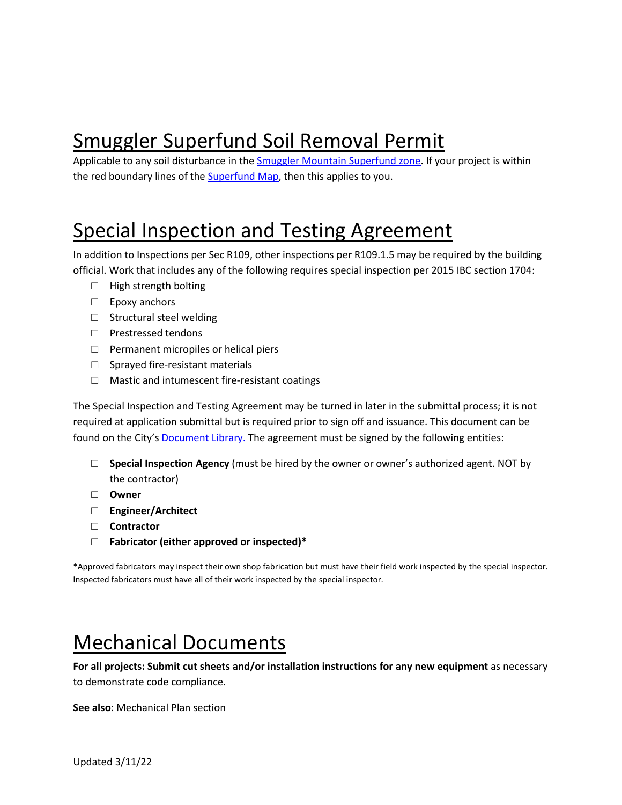### Smuggler Superfund Soil Removal Permit

Applicable to any soil disturbance in the [Smuggler Mountain Superfund zone.](https://www.cityofaspen.com/351/Smuggler-Superfund-Site) If your project is within the red boundary lines of th[e Superfund Map,](https://www.cityofaspen.com/DocumentCenter/View/7177/SmugglerEPA_Superfund_2021_24x36) then this applies to you.

### Special Inspection and Testing Agreement

In addition to Inspections per Sec R109, other inspections per R109.1.5 may be required by the building official. Work that includes any of the following requires special inspection per 2015 IBC section 1704:

- □ High strength bolting
- □ Epoxy anchors
- □ Structural steel welding
- □ Prestressed tendons
- $\Box$  Permanent micropiles or helical piers
- □ Sprayed fire-resistant materials
- □ Mastic and intumescent fire-resistant coatings

The Special Inspection and Testing Agreement may be turned in later in the submittal process; it is not required at application submittal but is required prior to sign off and issuance. This document can be found on the City's [Document Library.](https://www.cityofaspen.com/1391/Document-and-Resource-Library) The agreement must be signed by the following entities:

- □ **Special Inspection Agency** (must be hired by the owner or owner's authorized agent. NOT by the contractor)
- □ **Owner**
- □ **Engineer/Architect**
- □ **Contractor**
- □ **Fabricator (either approved or inspected)\***

\*Approved fabricators may inspect their own shop fabrication but must have their field work inspected by the special inspector. Inspected fabricators must have all of their work inspected by the special inspector.

### Mechanical Documents

**For all projects: Submit cut sheets and/or installation instructions for any new equipment** as necessary to demonstrate code compliance.

**See also**: Mechanical Plan section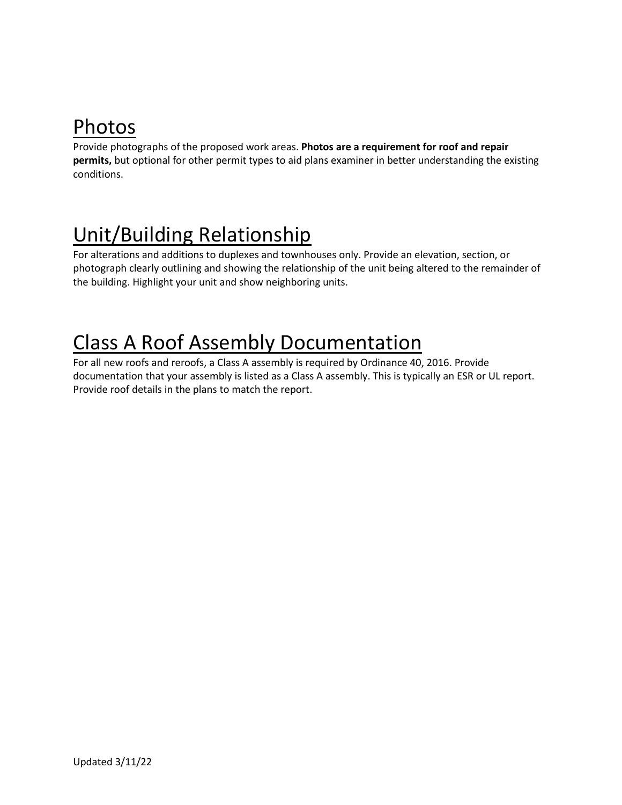### Photos

Provide photographs of the proposed work areas. **Photos are a requirement for roof and repair permits,** but optional for other permit types to aid plans examiner in better understanding the existing conditions.

### Unit/Building Relationship

For alterations and additions to duplexes and townhouses only. Provide an elevation, section, or photograph clearly outlining and showing the relationship of the unit being altered to the remainder of the building. Highlight your unit and show neighboring units.

### Class A Roof Assembly Documentation

For all new roofs and reroofs, a Class A assembly is required by Ordinance 40, 2016. Provide documentation that your assembly is listed as a Class A assembly. This is typically an ESR or UL report. Provide roof details in the plans to match the report.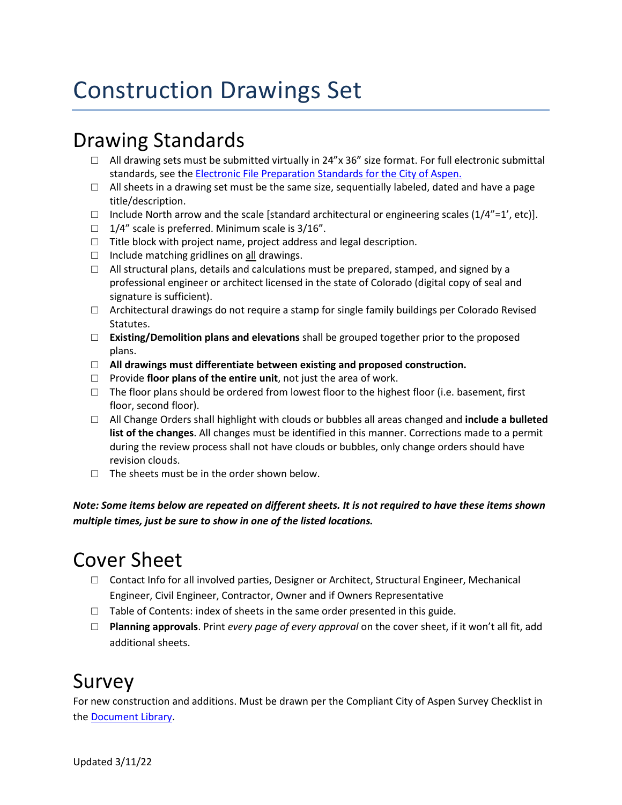### Construction Drawings Set

#### Drawing Standards

- $\Box$  All drawing sets must be submitted virtually in 24"x 36" size format. For full electronic submittal standards, see th[e Electronic File Preparation Standards for the City of Aspen.](https://www.cityofaspen.com/DocumentCenter/View/275/Electronic-File-Preparation-Standards-for-City-of-Aspen)
- $\Box$  All sheets in a drawing set must be the same size, sequentially labeled, dated and have a page title/description.
- $\Box$  Include North arrow and the scale [standard architectural or engineering scales (1/4"=1', etc)].
- $\Box$  1/4" scale is preferred. Minimum scale is 3/16".
- $\Box$  Title block with project name, project address and legal description.
- $\Box$  Include matching gridlines on all drawings.
- $\Box$  All structural plans, details and calculations must be prepared, stamped, and signed by a professional engineer or architect licensed in the state of Colorado (digital copy of seal and signature is sufficient).
- $\Box$  Architectural drawings do not require a stamp for single family buildings per Colorado Revised Statutes.
- □ **Existing/Demolition plans and elevations** shall be grouped together prior to the proposed plans.
- □ **All drawings must differentiate between existing and proposed construction.**
- □ Provide **floor plans of the entire unit**, not just the area of work.
- $\Box$  The floor plans should be ordered from lowest floor to the highest floor (i.e. basement, first floor, second floor).
- □ All Change Orders shall highlight with clouds or bubbles all areas changed and **include a bulleted list of the changes**. All changes must be identified in this manner. Corrections made to a permit during the review process shall not have clouds or bubbles, only change orders should have revision clouds.
- $\Box$  The sheets must be in the order shown below.

*Note: Some items below are repeated on different sheets. It is not required to have these items shown multiple times, just be sure to show in one of the listed locations.*

#### Cover Sheet

- $\Box$  Contact Info for all involved parties, Designer or Architect, Structural Engineer, Mechanical Engineer, Civil Engineer, Contractor, Owner and if Owners Representative
- $\Box$  Table of Contents: index of sheets in the same order presented in this guide.
- □ **Planning approvals**. Print *every page of every approval* on the cover sheet, if it won't all fit, add additional sheets.

#### Survey

For new construction and additions. Must be drawn per the Compliant City of Aspen Survey Checklist in the [Document Library.](https://www.cityofaspen.com/1391/Document-and-Resource-Library)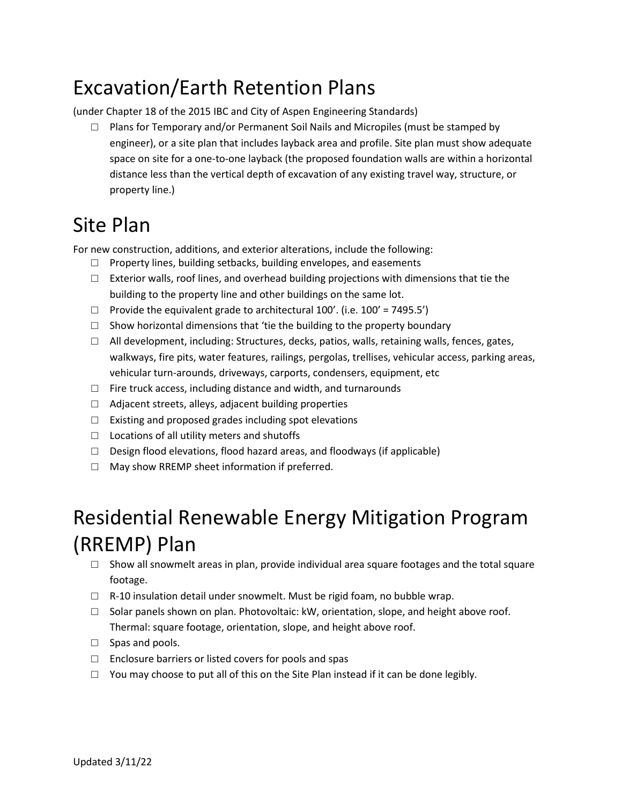#### Excavation/Earth Retention Plans

(under Chapter 18 of the 2015 IBC and City of Aspen Engineering Standards)

 $\Box$  Plans for Temporary and/or Permanent Soil Nails and Micropiles (must be stamped by engineer), or a site plan that includes layback area and profile. Site plan must show adequate space on site for a one-to-one layback (the proposed foundation walls are within a horizontal distance less than the vertical depth of excavation of any existing travel way, structure, or property line.)

#### Site Plan

For new construction, additions, and exterior alterations, include the following:

- □ Property lines, building setbacks, building envelopes, and easements
- $\Box$  Exterior walls, roof lines, and overhead building projections with dimensions that tie the building to the property line and other buildings on the same lot.
- $\Box$  Provide the equivalent grade to architectural 100'. (i.e. 100' = 7495.5')
- $\Box$  Show horizontal dimensions that 'tie the building to the property boundary
- $\Box$  All development, including: Structures, decks, patios, walls, retaining walls, fences, gates, walkways, fire pits, water features, railings, pergolas, trellises, vehicular access, parking areas, vehicular turn-arounds, driveways, carports, condensers, equipment, etc
- $\Box$  Fire truck access, including distance and width, and turnarounds
- $\Box$  Adjacent streets, alleys, adjacent building properties
- $\Box$  Existing and proposed grades including spot elevations
- □ Locations of all utility meters and shutoffs
- $\Box$  Design flood elevations, flood hazard areas, and floodways (if applicable)
- □ May show RREMP sheet information if preferred.

### Residential Renewable Energy Mitigation Program (RREMP) Plan

- $\Box$  Show all snowmelt areas in plan, provide individual area square footages and the total square footage.
- □ R-10 insulation detail under snowmelt. Must be rigid foam, no bubble wrap.
- $\Box$  Solar panels shown on plan. Photovoltaic: kW, orientation, slope, and height above roof. Thermal: square footage, orientation, slope, and height above roof.
- □ Spas and pools.
- □ Enclosure barriers or listed covers for pools and spas
- $\Box$  You may choose to put all of this on the Site Plan instead if it can be done legibly.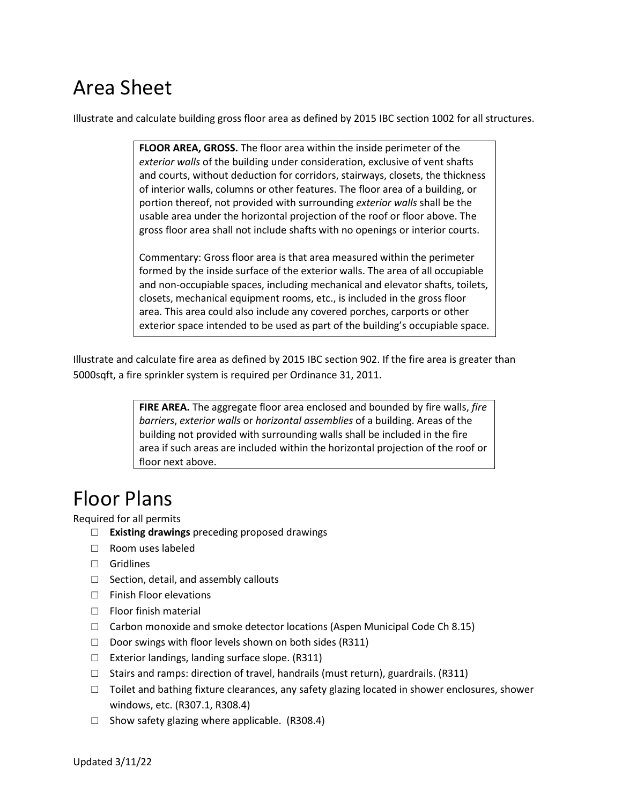#### Area Sheet

Illustrate and calculate building gross floor area as defined by 2015 IBC section 1002 for all structures.

**FLOOR AREA, GROSS.** The floor area within the inside perimeter of the *exterior walls* of the building under consideration, exclusive of vent shafts and courts, without deduction for corridors, stairways, closets, the thickness of interior walls, columns or other features. The floor area of a building, or portion thereof, not provided with surrounding *exterior walls* shall be the usable area under the horizontal projection of the roof or floor above. The gross floor area shall not include shafts with no openings or interior courts.

Commentary: Gross floor area is that area measured within the perimeter formed by the inside surface of the exterior walls. The area of all occupiable and non-occupiable spaces, including mechanical and elevator shafts, toilets, closets, mechanical equipment rooms, etc., is included in the gross floor area. This area could also include any covered porches, carports or other exterior space intended to be used as part of the building's occupiable space.

Illustrate and calculate fire area as defined by 2015 IBC section 902. If the fire area is greater than 5000sqft, a fire sprinkler system is required per Ordinance 31, 2011.

> **FIRE AREA.** The aggregate floor area enclosed and bounded by fire walls, *fire barriers*, *exterior walls* or *horizontal assemblies* of a building. Areas of the building not provided with surrounding walls shall be included in the fire area if such areas are included within the horizontal projection of the roof or floor next above.

#### Floor Plans

Required for all permits

- □ **Existing drawings** preceding proposed drawings
- □ Room uses labeled
- □ Gridlines
- $\Box$  Section, detail, and assembly callouts
- □ Finish Floor elevations
- □ Floor finish material
- $\Box$  Carbon monoxide and smoke detector locations (Aspen Municipal Code Ch 8.15)
- $\Box$  Door swings with floor levels shown on both sides (R311)
- □ Exterior landings, landing surface slope. (R311)
- $\Box$  Stairs and ramps: direction of travel, handrails (must return), guardrails. (R311)
- $\Box$  Toilet and bathing fixture clearances, any safety glazing located in shower enclosures, shower windows, etc. (R307.1, R308.4)
- $\Box$  Show safety glazing where applicable. (R308.4)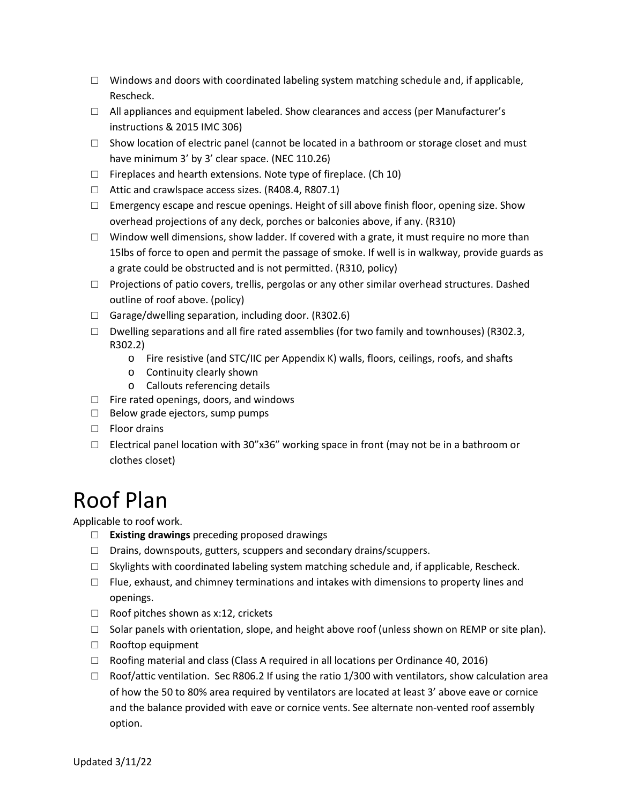- $\Box$  Windows and doors with coordinated labeling system matching schedule and, if applicable, Rescheck.
- $\Box$  All appliances and equipment labeled. Show clearances and access (per Manufacturer's instructions & 2015 IMC 306)
- $\square$  Show location of electric panel (cannot be located in a bathroom or storage closet and must have minimum 3' by 3' clear space. (NEC 110.26)
- $\Box$  Fireplaces and hearth extensions. Note type of fireplace. (Ch 10)
- □ Attic and crawlspace access sizes. (R408.4, R807.1)
- $\square$  Emergency escape and rescue openings. Height of sill above finish floor, opening size. Show overhead projections of any deck, porches or balconies above, if any. (R310)
- $\Box$  Window well dimensions, show ladder. If covered with a grate, it must require no more than 15lbs of force to open and permit the passage of smoke. If well is in walkway, provide guards as a grate could be obstructed and is not permitted. (R310, policy)
- $\Box$  Projections of patio covers, trellis, pergolas or any other similar overhead structures. Dashed outline of roof above. (policy)
- $\Box$  Garage/dwelling separation, including door. (R302.6)
- $\Box$  Dwelling separations and all fire rated assemblies (for two family and townhouses) (R302.3, R302.2)
	- o Fire resistive (and STC/IIC per Appendix K) walls, floors, ceilings, roofs, and shafts
	- o Continuity clearly shown
	- o Callouts referencing details
- $\Box$  Fire rated openings, doors, and windows
- □ Below grade ejectors, sump pumps
- □ Floor drains
- $\Box$  Electrical panel location with 30"x36" working space in front (may not be in a bathroom or clothes closet)

### Roof Plan

Applicable to roof work.

- □ **Existing drawings** preceding proposed drawings
- □ Drains, downspouts, gutters, scuppers and secondary drains/scuppers.
- $\Box$  Skylights with coordinated labeling system matching schedule and, if applicable, Rescheck.
- $\Box$  Flue, exhaust, and chimney terminations and intakes with dimensions to property lines and openings.
- □ Roof pitches shown as x:12, crickets
- $\Box$  Solar panels with orientation, slope, and height above roof (unless shown on REMP or site plan).
- □ Rooftop equipment
- $\Box$  Roofing material and class (Class A required in all locations per Ordinance 40, 2016)
- $\Box$  Roof/attic ventilation. Sec R806.2 If using the ratio 1/300 with ventilators, show calculation area of how the 50 to 80% area required by ventilators are located at least 3' above eave or cornice and the balance provided with eave or cornice vents. See alternate non-vented roof assembly option.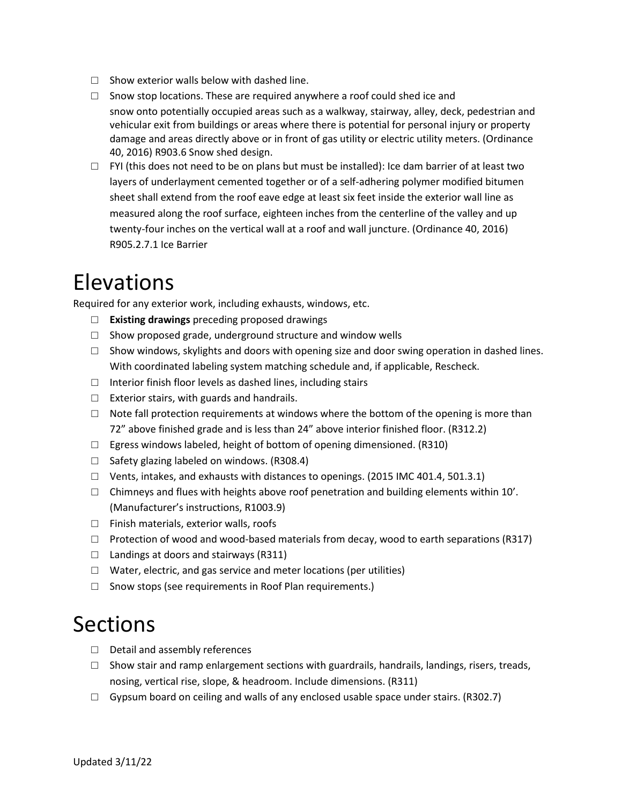- $\Box$  Show exterior walls below with dashed line.
- $\Box$  Snow stop locations. These are required anywhere a roof could shed ice and snow onto potentially occupied areas such as a walkway, stairway, alley, deck, pedestrian and vehicular exit from buildings or areas where there is potential for personal injury or property damage and areas directly above or in front of gas utility or electric utility meters. (Ordinance 40, 2016) R903.6 Snow shed design.
- $\Box$  FYI (this does not need to be on plans but must be installed): Ice dam barrier of at least two layers of underlayment cemented together or of a self-adhering polymer modified bitumen sheet shall extend from the roof eave edge at least six feet inside the exterior wall line as measured along the roof surface, eighteen inches from the centerline of the valley and up twenty-four inches on the vertical wall at a roof and wall juncture. (Ordinance 40, 2016) R905.2.7.1 Ice Barrier

#### Elevations

Required for any exterior work, including exhausts, windows, etc.

- □ **Existing drawings** preceding proposed drawings
- $\square$  Show proposed grade, underground structure and window wells
- $\Box$  Show windows, skylights and doors with opening size and door swing operation in dashed lines. With coordinated labeling system matching schedule and, if applicable, Rescheck.
- $\Box$  Interior finish floor levels as dashed lines, including stairs
- $\Box$  Exterior stairs, with guards and handrails.
- $\Box$  Note fall protection requirements at windows where the bottom of the opening is more than 72" above finished grade and is less than 24" above interior finished floor. (R312.2)
- $\Box$  Egress windows labeled, height of bottom of opening dimensioned. (R310)
- $\Box$  Safety glazing labeled on windows. (R308.4)
- $\Box$  Vents, intakes, and exhausts with distances to openings. (2015 IMC 401.4, 501.3.1)
- $\Box$  Chimneys and flues with heights above roof penetration and building elements within 10'. (Manufacturer's instructions, R1003.9)
- □ Finish materials, exterior walls, roofs
- $\Box$  Protection of wood and wood-based materials from decay, wood to earth separations (R317)
- $\Box$  Landings at doors and stairways (R311)
- $\Box$  Water, electric, and gas service and meter locations (per utilities)
- □ Snow stops (see requirements in Roof Plan requirements.)

#### Sections

- □ Detail and assembly references
- $\Box$  Show stair and ramp enlargement sections with guardrails, handrails, landings, risers, treads, nosing, vertical rise, slope, & headroom. Include dimensions. (R311)
- $\Box$  Gypsum board on ceiling and walls of any enclosed usable space under stairs. (R302.7)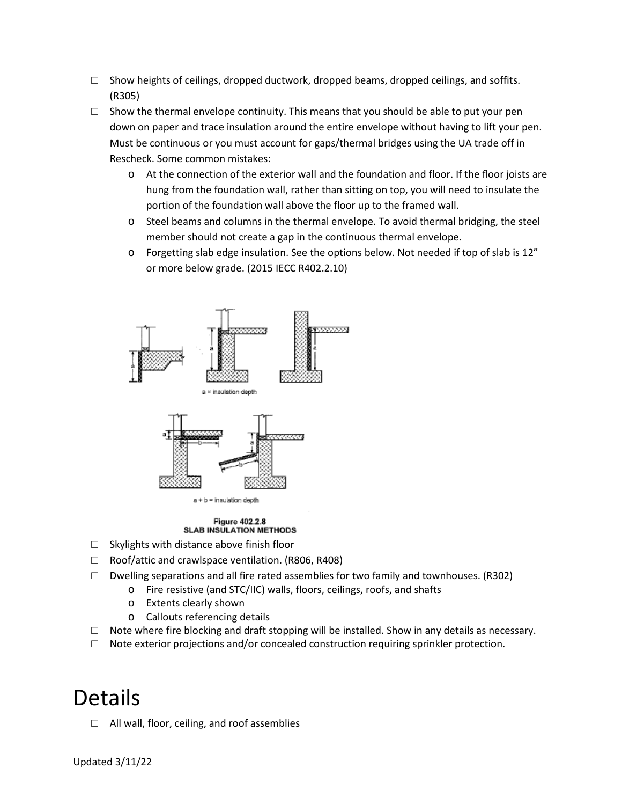- $\Box$  Show heights of ceilings, dropped ductwork, dropped beams, dropped ceilings, and soffits. (R305)
- $\square$  Show the thermal envelope continuity. This means that you should be able to put your pen down on paper and trace insulation around the entire envelope without having to lift your pen. Must be continuous or you must account for gaps/thermal bridges using the UA trade off in Rescheck. Some common mistakes:
	- o At the connection of the exterior wall and the foundation and floor. If the floor joists are hung from the foundation wall, rather than sitting on top, you will need to insulate the portion of the foundation wall above the floor up to the framed wall.
	- o Steel beams and columns in the thermal envelope. To avoid thermal bridging, the steel member should not create a gap in the continuous thermal envelope.
	- $\circ$  Forgetting slab edge insulation. See the options below. Not needed if top of slab is 12" or more below grade. (2015 IECC R402.2.10)



#### Figure 402.2.8 **SLAB INSULATION METHODS**

- □ Skylights with distance above finish floor
- □ Roof/attic and crawlspace ventilation. (R806, R408)
- $\Box$  Dwelling separations and all fire rated assemblies for two family and townhouses. (R302)
	- o Fire resistive (and STC/IIC) walls, floors, ceilings, roofs, and shafts
	- o Extents clearly shown
	- o Callouts referencing details
- $\Box$  Note where fire blocking and draft stopping will be installed. Show in any details as necessary.
- $\Box$  Note exterior projections and/or concealed construction requiring sprinkler protection.

### Details

 $\Box$  All wall, floor, ceiling, and roof assemblies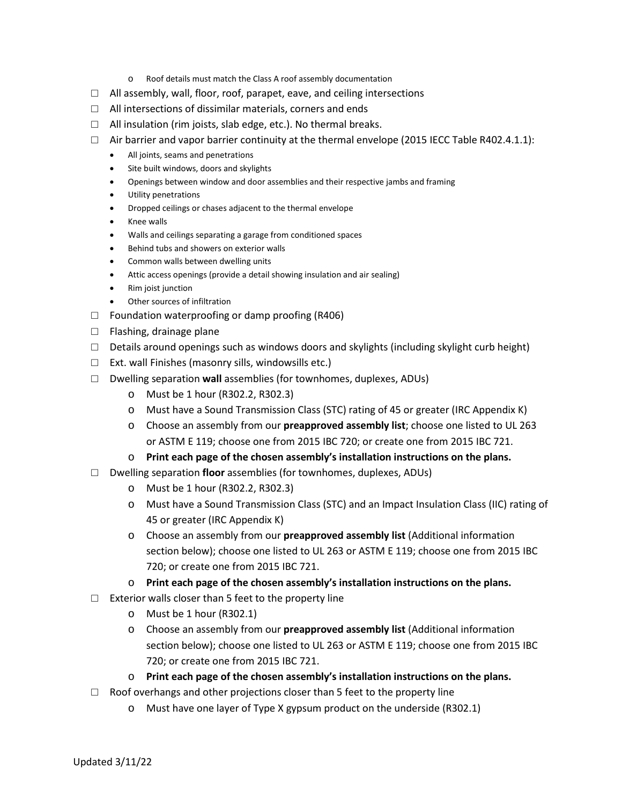- o Roof details must match the Class A roof assembly documentation
- $\Box$  All assembly, wall, floor, roof, parapet, eave, and ceiling intersections
- □ All intersections of dissimilar materials, corners and ends
- $\Box$  All insulation (rim joists, slab edge, etc.). No thermal breaks.
- $\Box$  Air barrier and vapor barrier continuity at the thermal envelope (2015 IECC Table R402.4.1.1):
	- All joints, seams and penetrations
	- Site built windows, doors and skylights
	- Openings between window and door assemblies and their respective jambs and framing
	- Utility penetrations
	- Dropped ceilings or chases adjacent to the thermal envelope
	- Knee walls
	- Walls and ceilings separating a garage from conditioned spaces
	- Behind tubs and showers on exterior walls
	- Common walls between dwelling units
	- Attic access openings (provide a detail showing insulation and air sealing)
	- Rim joist junction
	- Other sources of infiltration
- $\Box$  Foundation waterproofing or damp proofing (R406)
- □ Flashing, drainage plane
- $\Box$  Details around openings such as windows doors and skylights (including skylight curb height)
- □ Ext. wall Finishes (masonry sills, windowsills etc.)
- □ Dwelling separation **wall** assemblies (for townhomes, duplexes, ADUs)
	- o Must be 1 hour (R302.2, R302.3)
	- o Must have a Sound Transmission Class (STC) rating of 45 or greater (IRC Appendix K)
	- o Choose an assembly from our **preapproved assembly list**; choose one listed to UL 263 or ASTM E 119; choose one from 2015 IBC 720; or create one from 2015 IBC 721.
	- o **Print each page of the chosen assembly's installation instructions on the plans.**
- □ Dwelling separation **floor** assemblies (for townhomes, duplexes, ADUs)
	- o Must be 1 hour (R302.2, R302.3)
	- o Must have a Sound Transmission Class (STC) and an Impact Insulation Class (IIC) rating of 45 or greater (IRC Appendix K)
	- o Choose an assembly from our **preapproved assembly list** (Additional information section below); choose one listed to UL 263 or ASTM E 119; choose one from 2015 IBC 720; or create one from 2015 IBC 721.
	- o **Print each page of the chosen assembly's installation instructions on the plans.**
- $\Box$  Exterior walls closer than 5 feet to the property line
	- o Must be 1 hour (R302.1)
	- o Choose an assembly from our **preapproved assembly list** (Additional information section below); choose one listed to UL 263 or ASTM E 119; choose one from 2015 IBC 720; or create one from 2015 IBC 721.
	- o **Print each page of the chosen assembly's installation instructions on the plans.**
- $\Box$  Roof overhangs and other projections closer than 5 feet to the property line
	- o Must have one layer of Type X gypsum product on the underside (R302.1)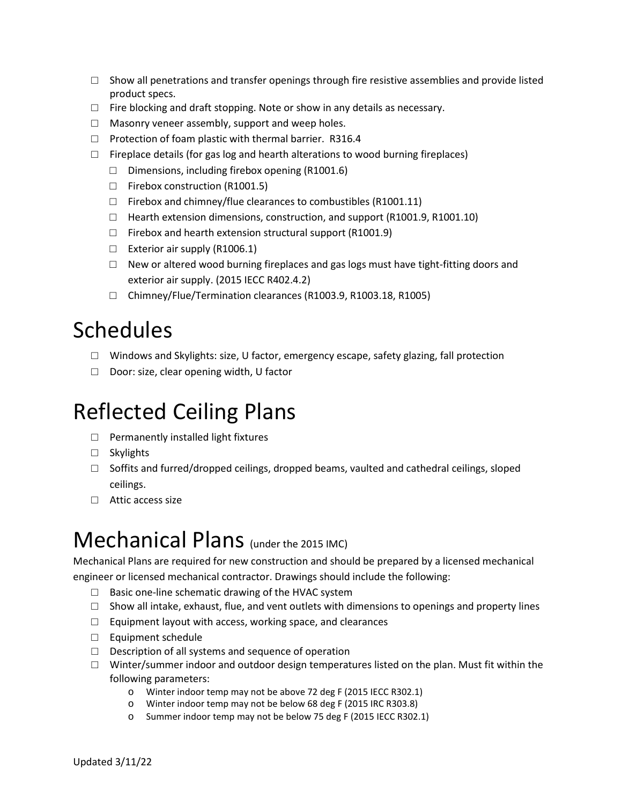- $\Box$  Show all penetrations and transfer openings through fire resistive assemblies and provide listed product specs.
- $\Box$  Fire blocking and draft stopping. Note or show in any details as necessary.
- $\Box$  Masonry veneer assembly, support and weep holes.
- □ Protection of foam plastic with thermal barrier. R316.4
- $\Box$  Fireplace details (for gas log and hearth alterations to wood burning fireplaces)
	- $\Box$  Dimensions, including firebox opening (R1001.6)
	- □ Firebox construction (R1001.5)
	- $\Box$  Firebox and chimney/flue clearances to combustibles (R1001.11)
	- □ Hearth extension dimensions, construction, and support (R1001.9, R1001.10)
	- $\Box$  Firebox and hearth extension structural support (R1001.9)
	- □ Exterior air supply (R1006.1)
	- $\Box$  New or altered wood burning fireplaces and gas logs must have tight-fitting doors and exterior air supply. (2015 IECC R402.4.2)
	- □ Chimney/Flue/Termination clearances (R1003.9, R1003.18, R1005)

### Schedules

- $\square$  Windows and Skylights: size, U factor, emergency escape, safety glazing, fall protection
- □ Door: size, clear opening width, U factor

### Reflected Ceiling Plans

- □ Permanently installed light fixtures
- □ Skylights
- $\Box$  Soffits and furred/dropped ceilings, dropped beams, vaulted and cathedral ceilings, sloped ceilings.
- □ Attic access size

#### Mechanical Plans (under the 2015 IMC)

Mechanical Plans are required for new construction and should be prepared by a licensed mechanical engineer or licensed mechanical contractor. Drawings should include the following:

- $\Box$  Basic one-line schematic drawing of the HVAC system
- $\Box$  Show all intake, exhaust, flue, and vent outlets with dimensions to openings and property lines
- $\Box$  Equipment layout with access, working space, and clearances
- □ Equipment schedule
- $\Box$  Description of all systems and sequence of operation
- $\Box$  Winter/summer indoor and outdoor design temperatures listed on the plan. Must fit within the following parameters:
	- o Winter indoor temp may not be above 72 deg F (2015 IECC R302.1)
	- o Winter indoor temp may not be below 68 deg F (2015 IRC R303.8)
	- o Summer indoor temp may not be below 75 deg F (2015 IECC R302.1)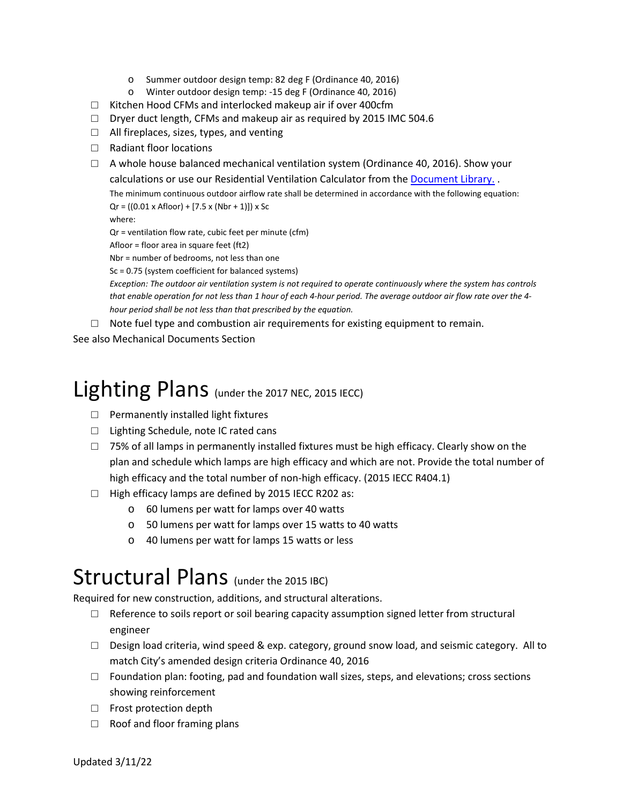- o Summer outdoor design temp: 82 deg F (Ordinance 40, 2016)
- o Winter outdoor design temp: -15 deg F (Ordinance 40, 2016)
- □ Kitchen Hood CFMs and interlocked makeup air if over 400cfm
- □ Dryer duct length, CFMs and makeup air as required by 2015 IMC 504.6
- □ All fireplaces, sizes, types, and venting
- □ Radiant floor locations
- $\Box$  A whole house balanced mechanical ventilation system (Ordinance 40, 2016). Show your calculations or use our Residential Ventilation Calculator from the [Document Library.](https://www.cityofaspen.com/1391/Document-and-Resource-Library) . The minimum continuous outdoor airflow rate shall be determined in accordance with the following equation:  $Qr = ((0.01 \times \text{Afloor}) + [7.5 \times (\text{Nbr} + 1)]) \times \text{Sc}$ where:

Qr = ventilation flow rate, cubic feet per minute (cfm)

Afloor = floor area in square feet (ft2)

Nbr = number of bedrooms, not less than one

Sc = 0.75 (system coefficient for balanced systems)

*Exception: The outdoor air ventilation system is not required to operate continuously where the system has controls that enable operation for not less than 1 hour of each 4-hour period. The average outdoor air flow rate over the 4 hour period shall be not less than that prescribed by the equation.*

 $\Box$  Note fuel type and combustion air requirements for existing equipment to remain.

See also Mechanical Documents Section

### Lighting Plans (under the 2017 NEC, 2015 IECC)

- $\Box$  Permanently installed light fixtures
- □ Lighting Schedule, note IC rated cans
- $\Box$  75% of all lamps in permanently installed fixtures must be high efficacy. Clearly show on the plan and schedule which lamps are high efficacy and which are not. Provide the total number of high efficacy and the total number of non-high efficacy. (2015 IECC R404.1)
- □ High efficacy lamps are defined by 2015 IECC R202 as:
	- o 60 lumens per watt for lamps over 40 watts
	- o 50 lumens per watt for lamps over 15 watts to 40 watts
	- o 40 lumens per watt for lamps 15 watts or less

#### Structural Plans (under the 2015 IBC)

Required for new construction, additions, and structural alterations.

- $\Box$  Reference to soils report or soil bearing capacity assumption signed letter from structural engineer
- $\Box$  Design load criteria, wind speed & exp. category, ground snow load, and seismic category. All to match City's amended design criteria Ordinance 40, 2016
- $\Box$  Foundation plan: footing, pad and foundation wall sizes, steps, and elevations; cross sections showing reinforcement
- □ Frost protection depth
- $\Box$  Roof and floor framing plans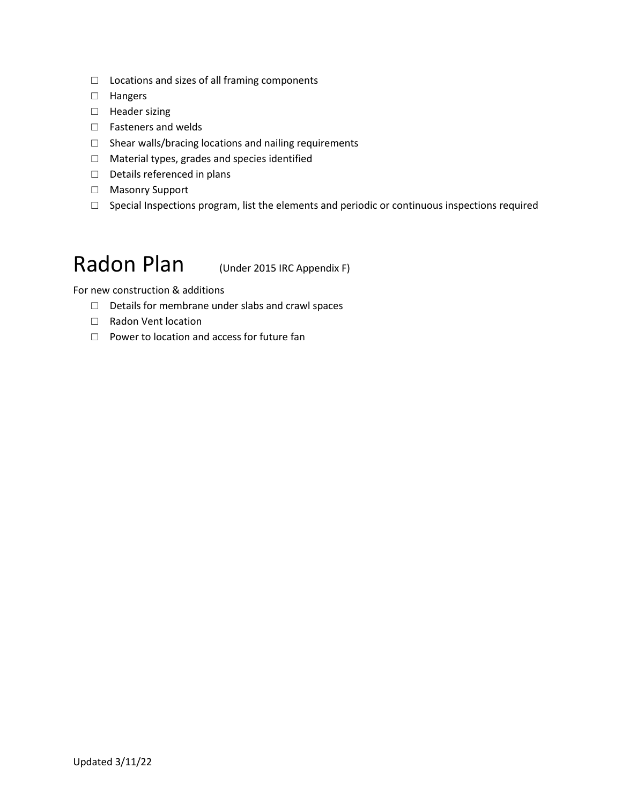- □ Locations and sizes of all framing components
- □ Hangers
- □ Header sizing
- □ Fasteners and welds
- □ Shear walls/bracing locations and nailing requirements
- □ Material types, grades and species identified
- □ Details referenced in plans
- □ Masonry Support
- □ Special Inspections program, list the elements and periodic or continuous inspections required

#### Radon Plan (Under 2015 IRC Appendix F)

For new construction & additions

- □ Details for membrane under slabs and crawl spaces
- □ Radon Vent location
- □ Power to location and access for future fan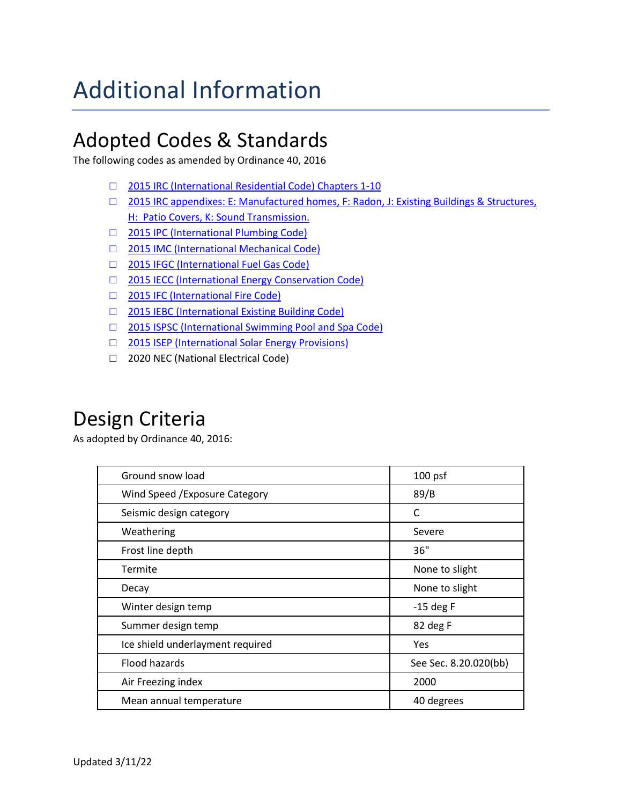## Additional Information

#### Adopted Codes & Standards

The following codes as amended by Ordinance 40, 2016

- □ 2015 IRC (International Residential Code) Chapters 1-10
- □ [2015 IRC appendixes: E: Manufactured homes, F: Radon, J: Existing Buildings & Structures,](https://www.cityofaspen.com/197/Building-Energy-Codes)  [H: Patio Covers, K: Sound Transmission.](https://www.cityofaspen.com/197/Building-Energy-Codes)
- □ [2015 IPC \(International Plumbing Code\)](https://www.cityofaspen.com/197/Building-Energy-Codes)
- □ [2015 IMC \(International Mechanical Code\)](https://www.cityofaspen.com/197/Building-Energy-Codes)
- □ [2015 IFGC \(International Fuel Gas Code\)](https://www.cityofaspen.com/197/Building-Energy-Codes)
- □ [2015 IECC \(International Energy Conservation Code\)](https://www.cityofaspen.com/197/Building-Energy-Codes)
- □ [2015 IFC \(International Fire Code\)](https://www.cityofaspen.com/197/Building-Energy-Codes)
- □ [2015 IEBC \(International Existing Building Code\)](https://www.cityofaspen.com/197/Building-Energy-Codes)
- □ [2015 ISPSC \(International Swimming Pool and Spa Code\)](https://www.cityofaspen.com/197/Building-Energy-Codes)
- □ [2015 ISEP \(International Solar Energy Provisions\)](https://www.cityofaspen.com/197/Building-Energy-Codes)
- □ 2020 NEC (National Electrical Code)

#### Design Criteria

As adopted by Ordinance 40, 2016:

| Ground snow load                 | $100$ psf             |
|----------------------------------|-----------------------|
| Wind Speed / Exposure Category   | 89/B                  |
| Seismic design category          | C                     |
| Weathering                       | Severe                |
| Frost line depth                 | 36"                   |
| Termite                          | None to slight        |
| Decay                            | None to slight        |
| Winter design temp               | $-15$ deg F           |
| Summer design temp               | 82 deg F              |
| Ice shield underlayment required | Yes                   |
| Flood hazards                    | See Sec. 8.20.020(bb) |
| Air Freezing index               | 2000                  |
| Mean annual temperature          | 40 degrees            |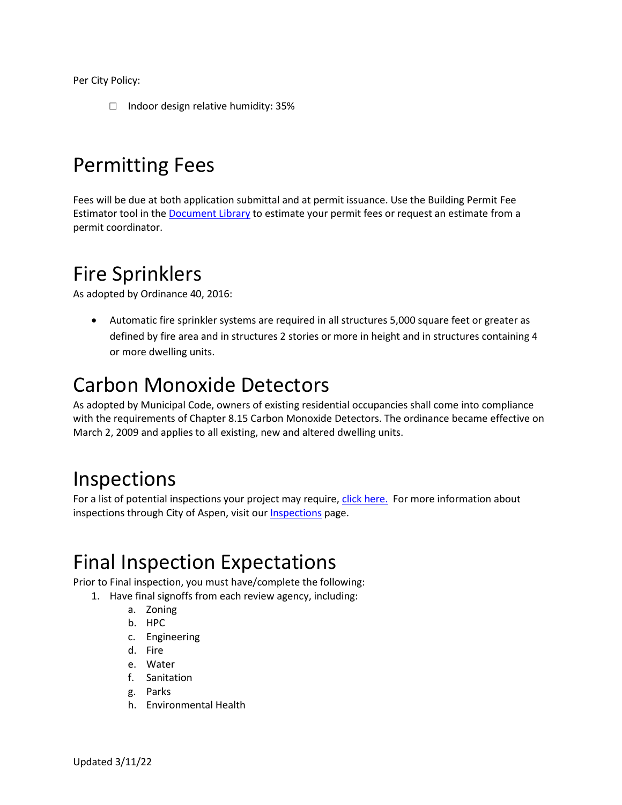Per City Policy:

□ Indoor design relative humidity: 35%

#### Permitting Fees

Fees will be due at both application submittal and at permit issuance. Use the Building Permit Fee Estimator tool in the [Document Library](https://www.cityofaspen.com/1391/Document-and-Resource-Library) to estimate your permit fees or request an estimate from a permit coordinator.

#### Fire Sprinklers

As adopted by Ordinance 40, 2016:

• Automatic fire sprinkler systems are required in all structures 5,000 square feet or greater as defined by fire area and in structures 2 stories or more in height and in structures containing 4 or more dwelling units.

#### Carbon Monoxide Detectors

As adopted by Municipal Code, owners of existing residential occupancies shall come into compliance with the requirements of Chapter 8.15 Carbon Monoxide Detectors. The ordinance became effective on March 2, 2009 and applies to all existing, new and altered dwelling units.

#### Inspections

For a list of potential inspections your project may require, [click here.](https://www.cityofaspen.com/DocumentCenter/View/187/List-of-Inspection-Types-PDF?bidId=) For more information about inspections through City of Aspen, visit our [Inspections](https://www.cityofaspen.com/227/Inspections) page.

#### Final Inspection Expectations

Prior to Final inspection, you must have/complete the following:

- 1. Have final signoffs from each review agency, including:
	- a. Zoning
	- b. HPC
	- c. Engineering
	- d. Fire
	- e. Water
	- f. Sanitation
	- g. Parks
	- h. Environmental Health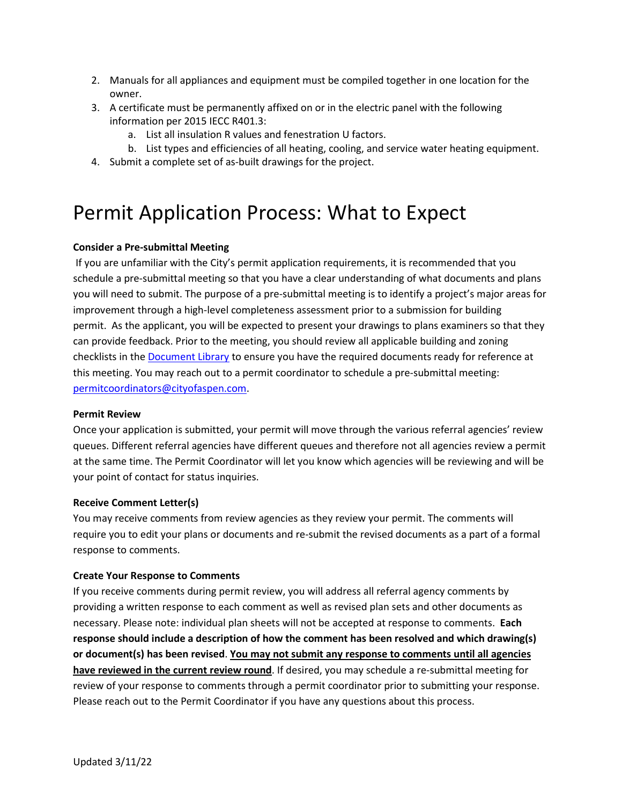- 2. Manuals for all appliances and equipment must be compiled together in one location for the owner.
- 3. A certificate must be permanently affixed on or in the electric panel with the following information per 2015 IECC R401.3:
	- a. List all insulation R values and fenestration U factors.
- b. List types and efficiencies of all heating, cooling, and service water heating equipment.
- 4. Submit a complete set of as-built drawings for the project.

#### Permit Application Process: What to Expect

#### **Consider a Pre-submittal Meeting**

If you are unfamiliar with the City's permit application requirements, it is recommended that you schedule a pre-submittal meeting so that you have a clear understanding of what documents and plans you will need to submit. The purpose of a pre-submittal meeting is to identify a project's major areas for improvement through a high-level completeness assessment prior to a submission for building permit. As the applicant, you will be expected to present your drawings to plans examiners so that they can provide feedback. Prior to the meeting, you should review all applicable building and zoning checklists in th[e Document Library](https://www.cityofaspen.com/1391/Document-and-Resource-Library) to ensure you have the required documents ready for reference at this meeting. You may reach out to a permit coordinator to schedule a pre-submittal meeting: [permitcoordinators@cityofaspen.com.](mailto:permitcoordinators@cityofaspen.com)

#### **Permit Review**

Once your application is submitted, your permit will move through the various referral agencies' review queues. Different referral agencies have different queues and therefore not all agencies review a permit at the same time. The Permit Coordinator will let you know which agencies will be reviewing and will be your point of contact for status inquiries.

#### **Receive Comment Letter(s)**

You may receive comments from review agencies as they review your permit. The comments will require you to edit your plans or documents and re-submit the revised documents as a part of a formal response to comments.

#### **Create Your Response to Comments**

If you receive comments during permit review, you will address all referral agency comments by providing a written response to each comment as well as revised plan sets and other documents as necessary. Please note: individual plan sheets will not be accepted at response to comments. **Each response should include a description of how the comment has been resolved and which drawing(s) or document(s) has been revised**. **You may not submit any response to comments until all agencies have reviewed in the current review round**. If desired, you may schedule a re-submittal meeting for review of your response to comments through a permit coordinator prior to submitting your response. Please reach out to the Permit Coordinator if you have any questions about this process.